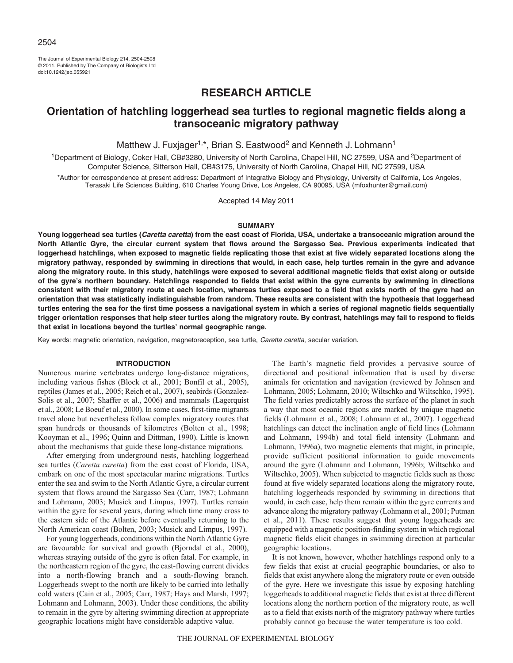The Journal of Experimental Biology 214, 2504-2508 © 2011. Published by The Company of Biologists Ltd doi:10.1242/jeb.055921

# **RESEARCH ARTICLE**

# **Orientation of hatchling loggerhead sea turtles to regional magnetic fields along a transoceanic migratory pathway**

Matthew J. Fuxjager<sup>1,\*</sup>, Brian S. Eastwood<sup>2</sup> and Kenneth J. Lohmann<sup>1</sup>

<sup>1</sup>Department of Biology, Coker Hall, CB#3280, University of North Carolina, Chapel Hill, NC 27599, USA and <sup>2</sup>Department of Computer Science, Sitterson Hall, CB#3175, University of North Carolina, Chapel Hill, NC 27599, USA

\*Author for correspondence at present address: Department of Integrative Biology and Physiology, University of California, Los Angeles, Terasaki Life Sciences Building, 610 Charles Young Drive, Los Angeles, CA 90095, USA (mfoxhunter@gmail.com)

Accepted 14 May 2011

## **SUMMARY**

**Young loggerhead sea turtles (Caretta caretta) from the east coast of Florida, USA, undertake a transoceanic migration around the North Atlantic Gyre, the circular current system that flows around the Sargasso Sea. Previous experiments indicated that loggerhead hatchlings, when exposed to magnetic fields replicating those that exist at five widely separated locations along the migratory pathway, responded by swimming in directions that would, in each case, help turtles remain in the gyre and advance along the migratory route. In this study, hatchlings were exposed to several additional magnetic fields that exist along or outside of the gyre's northern boundary. Hatchlings responded to fields that exist within the gyre currents by swimming in directions consistent with their migratory route at each location, whereas turtles exposed to a field that exists north of the gyre had an orientation that was statistically indistinguishable from random. These results are consistent with the hypothesis that loggerhead turtles entering the sea for the first time possess a navigational system in which a series of regional magnetic fields sequentially trigger orientation responses that help steer turtles along the migratory route. By contrast, hatchlings may fail to respond to fields that exist in locations beyond the turtles' normal geographic range.**

Key words: magnetic orientation, navigation, magnetoreception, sea turtle, Caretta caretta, secular variation.

# **INTRODUCTION**

Numerous marine vertebrates undergo long-distance migrations, including various fishes (Block et al., 2001; Bonfil et al., 2005), reptiles (James et al., 2005; Reich et al., 2007), seabirds (Gonzalez-Solis et al., 2007; Shaffer et al., 2006) and mammals (Lagerquist et al., 2008; Le Boeuf et al., 2000). In some cases, first-time migrants travel alone but nevertheless follow complex migratory routes that span hundreds or thousands of kilometres (Bolten et al., 1998; Kooyman et al., 1996; Quinn and Dittman, 1990). Little is known about the mechanisms that guide these long-distance migrations.

After emerging from underground nests, hatchling loggerhead sea turtles (*Caretta caretta*) from the east coast of Florida, USA, embark on one of the most spectacular marine migrations. Turtles enter the sea and swim to the North Atlantic Gyre, a circular current system that flows around the Sargasso Sea (Carr, 1987; Lohmann and Lohmann, 2003; Musick and Limpus, 1997). Turtles remain within the gyre for several years, during which time many cross to the eastern side of the Atlantic before eventually returning to the North American coast (Bolten, 2003; Musick and Limpus, 1997).

For young loggerheads, conditions within the North Atlantic Gyre are favourable for survival and growth (Bjorndal et al., 2000), whereas straying outside of the gyre is often fatal. For example, in the northeastern region of the gyre, the east-flowing current divides into a north-flowing branch and a south-flowing branch. Loggerheads swept to the north are likely to be carried into lethally cold waters (Cain et al., 2005; Carr, 1987; Hays and Marsh, 1997; Lohmann and Lohmann, 2003). Under these conditions, the ability to remain in the gyre by altering swimming direction at appropriate geographic locations might have considerable adaptive value.

The Earth's magnetic field provides a pervasive source of directional and positional information that is used by diverse animals for orientation and navigation (reviewed by Johnsen and Lohmann, 2005; Lohmann, 2010; Wiltschko and Wiltschko, 1995). The field varies predictably across the surface of the planet in such a way that most oceanic regions are marked by unique magnetic fields (Lohmann et al., 2008; Lohmann et al., 2007). Loggerhead hatchlings can detect the inclination angle of field lines (Lohmann and Lohmann, 1994b) and total field intensity (Lohmann and Lohmann, 1996a), two magnetic elements that might, in principle, provide sufficient positional information to guide movements around the gyre (Lohmann and Lohmann, 1996b; Wiltschko and Wiltschko, 2005). When subjected to magnetic fields such as those found at five widely separated locations along the migratory route, hatchling loggerheads responded by swimming in directions that would, in each case, help them remain within the gyre currents and advance along the migratory pathway (Lohmann et al., 2001; Putman et al., 2011). These results suggest that young loggerheads are equipped with a magnetic position-finding system in which regional magnetic fields elicit changes in swimming direction at particular geographic locations.

It is not known, however, whether hatchlings respond only to a few fields that exist at crucial geographic boundaries, or also to fields that exist anywhere along the migratory route or even outside of the gyre. Here we investigate this issue by exposing hatchling loggerheads to additional magnetic fields that exist at three different locations along the northern portion of the migratory route, as well as to a field that exists north of the migratory pathway where turtles probably cannot go because the water temperature is too cold.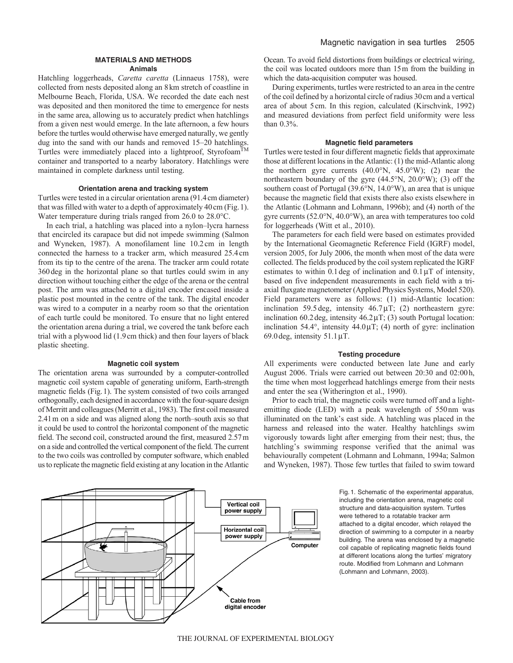## **MATERIALS AND METHODS Animals**

Hatchling loggerheads, *Caretta caretta* (Linnaeus 1758), were collected from nests deposited along an 8km stretch of coastline in Melbourne Beach, Florida, USA. We recorded the date each nest was deposited and then monitored the time to emergence for nests in the same area, allowing us to accurately predict when hatchlings from a given nest would emerge. In the late afternoon, a few hours before the turtles would otherwise have emerged naturally, we gently dug into the sand with our hands and removed 15–20 hatchlings. Turtles were immediately placed into a lightproof, Styrofoam<sup>TM</sup> container and transported to a nearby laboratory. Hatchlings were maintained in complete darkness until testing.

# **Orientation arena and tracking system**

Turtles were tested in a circular orientation arena (91.4cm diameter) that was filled with water to a depth of approximately 40cm (Fig.1). Water temperature during trials ranged from 26.0 to 28.0°C.

In each trial, a hatchling was placed into a nylon–lycra harness that encircled its carapace but did not impede swimming (Salmon and Wyneken, 1987). A monofilament line 10.2cm in length connected the harness to a tracker arm, which measured 25.4cm from its tip to the centre of the arena. The tracker arm could rotate 360deg in the horizontal plane so that turtles could swim in any direction without touching either the edge of the arena or the central post. The arm was attached to a digital encoder encased inside a plastic post mounted in the centre of the tank. The digital encoder was wired to a computer in a nearby room so that the orientation of each turtle could be monitored. To ensure that no light entered the orientation arena during a trial, we covered the tank before each trial with a plywood lid (1.9cm thick) and then four layers of black plastic sheeting.

#### **Magnetic coil system**

The orientation arena was surrounded by a computer-controlled magnetic coil system capable of generating uniform, Earth-strength magnetic fields (Fig.1). The system consisted of two coils arranged orthogonally, each designed in accordance with the four-square design of Merritt and colleagues (Merritt et al., 1983). The first coil measured 2.41m on a side and was aligned along the north–south axis so that it could be used to control the horizontal component of the magnetic field. The second coil, constructed around the first, measured 2.57m on a side and controlled the vertical component of the field. The current to the two coils was controlled by computer software, which enabled us to replicate the magnetic field existing at any location in the Atlantic

Ocean. To avoid field distortions from buildings or electrical wiring, the coil was located outdoors more than 15m from the building in which the data-acquisition computer was housed.

During experiments, turtles were restricted to an area in the centre of the coil defined by a horizontal circle of radius 30cm and a vertical area of about 5cm. In this region, calculated (Kirschvink, 1992) and measured deviations from perfect field uniformity were less than 0.3%.

#### **Magnetic field parameters**

Turtles were tested in four different magnetic fields that approximate those at different locations in the Atlantic: (1) the mid-Atlantic along the northern gyre currents  $(40.0\text{°N}, 45.0\text{°W})$ ; (2) near the northeastern boundary of the gyre (44.5°N, 20.0°W); (3) off the southern coast of Portugal (39.6°N, 14.0°W), an area that is unique because the magnetic field that exists there also exists elsewhere in the Atlantic (Lohmann and Lohmann, 1996b); and (4) north of the gyre currents (52.0°N, 40.0°W), an area with temperatures too cold for loggerheads (Witt et al., 2010).

The parameters for each field were based on estimates provided by the International Geomagnetic Reference Field (IGRF) model, version 2005, for July 2006, the month when most of the data were collected. The fields produced by the coil system replicated the IGRF estimates to within 0.1 deg of inclination and  $0.1 \mu T$  of intensity, based on five independent measurements in each field with a triaxial fluxgate magnetometer (Applied Physics Systems, Model 520). Field parameters were as follows: (1) mid-Atlantic location: inclination 59.5 deg, intensity  $46.7 \mu$ T; (2) northeastern gyre: inclination 60.2 deg, intensity  $46.2 \mu T$ ; (3) south Portugal location: inclination 54.4°, intensity 44.0 $\mu$ T; (4) north of gyre: inclination 69.0 deg, intensity  $51.1 \,\mu$ T.

#### **Testing procedure**

All experiments were conducted between late June and early August 2006. Trials were carried out between 20:30 and 02:00h, the time when most loggerhead hatchlings emerge from their nests and enter the sea (Witherington et al., 1990).

Prior to each trial, the magnetic coils were turned off and a lightemitting diode (LED) with a peak wavelength of 550nm was illuminated on the tank's east side. A hatchling was placed in the harness and released into the water. Healthy hatchlings swim vigorously towards light after emerging from their nest; thus, the hatchling's swimming response verified that the animal was behaviourally competent (Lohmann and Lohmann, 1994a; Salmon and Wyneken, 1987). Those few turtles that failed to swim toward



Fig. 1. Schematic of the experimental apparatus, including the orientation arena, magnetic coil structure and data-acquisition system. Turtles were tethered to a rotatable tracker arm attached to a digital encoder, which relayed the direction of swimming to a computer in a nearby building. The arena was enclosed by a magnetic coil capable of replicating magnetic fields found at different locations along the turtles' migratory route. Modified from Lohmann and Lohmann (Lohmann and Lohmann, 2003).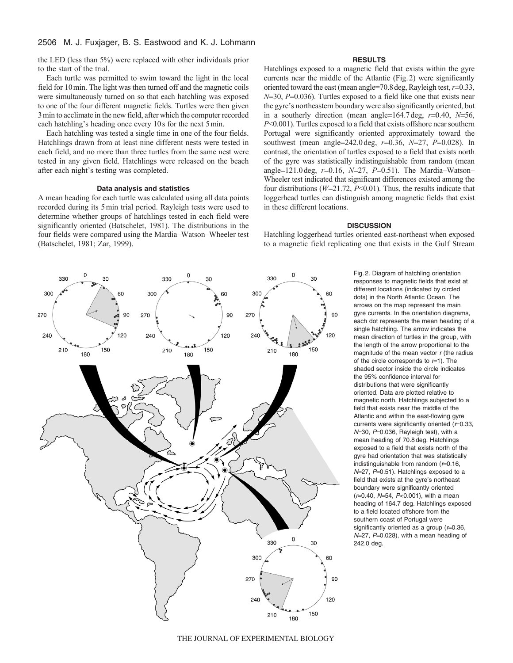# 2506 M. J. Fuxjager, B. S. Eastwood and K. J. Lohmann

the LED (less than 5%) were replaced with other individuals prior to the start of the trial.

Each turtle was permitted to swim toward the light in the local field for 10min. The light was then turned off and the magnetic coils were simultaneously turned on so that each hatchling was exposed to one of the four different magnetic fields. Turtles were then given 3min to acclimate in the new field, after which the computer recorded each hatchling's heading once every 10s for the next 5min.

Each hatchling was tested a single time in one of the four fields. Hatchlings drawn from at least nine different nests were tested in each field, and no more than three turtles from the same nest were tested in any given field. Hatchlings were released on the beach after each night's testing was completed.

## **Data analysis and statistics**

A mean heading for each turtle was calculated using all data points recorded during its 5min trial period. Rayleigh tests were used to determine whether groups of hatchlings tested in each field were significantly oriented (Batschelet, 1981). The distributions in the four fields were compared using the Mardia–Watson–Wheeler test (Batschelet, 1981; Zar, 1999).

## **RESULTS**

Hatchlings exposed to a magnetic field that exists within the gyre currents near the middle of the Atlantic (Fig.2) were significantly oriented toward the east (mean angle=70.8 deg, Rayleigh test,  $r=0.33$ ,  $N=30$ ,  $P=0.036$ ). Turtles exposed to a field like one that exists near the gyre's northeastern boundary were also significantly oriented, but in a southerly direction (mean angle=164.7 deg,  $r=0.40$ ,  $N=56$ , *P*<0.001). Turtles exposed to a field that exists offshore near southern Portugal were significantly oriented approximately toward the southwest (mean angle=242.0 deg,  $r=0.36$ ,  $N=27$ ,  $P=0.028$ ). In contrast, the orientation of turtles exposed to a field that exists north of the gyre was statistically indistinguishable from random (mean angle=121.0 deg,  $r=0.16$ ,  $N=27$ ,  $P=0.51$ ). The Mardia–Watson– Wheeler test indicated that significant differences existed among the four distributions ( $W=21.72$ ,  $P<0.01$ ). Thus, the results indicate that loggerhead turtles can distinguish among magnetic fields that exist in these different locations.

#### **DISCUSSION**

Hatchling loggerhead turtles oriented east-northeast when exposed to a magnetic field replicating one that exists in the Gulf Stream



Fig. 2. Diagram of hatchling orientation responses to magnetic fields that exist at different locations (indicated by circled dots) in the North Atlantic Ocean. The arrows on the map represent the main gyre currents. In the orientation diagrams, each dot represents the mean heading of a single hatchling. The arrow indicates the mean direction of turtles in the group, with the length of the arrow proportional to the magnitude of the mean vector  $r$  (the radius of the circle corresponds to  $r=1$ ). The shaded sector inside the circle indicates the 95% confidence interval for distributions that were significantly oriented. Data are plotted relative to magnetic north. Hatchlings subjected to a field that exists near the middle of the Atlantic and within the east-flowing gyre currents were significantly oriented  $(r=0.33,$  $N=30$ ,  $P=0.036$ , Rayleigh test), with a mean heading of 70.8 deg. Hatchlings exposed to a field that exists north of the gyre had orientation that was statistically indistinguishable from random ( $r=0.16$ ,  $N=27$ ,  $P=0.51$ ). Hatchlings exposed to a field that exists at the gyre's northeast boundary were significantly oriented  $(r=0.40, N=54, P<0.001)$ , with a mean heading of 164.7 deg. Hatchlings exposed to a field located offshore from the southern coast of Portugal were significantly oriented as a group ( $r=0.36$ ,  $N=27$ ,  $P=0.028$ ), with a mean heading of 242.0 deg.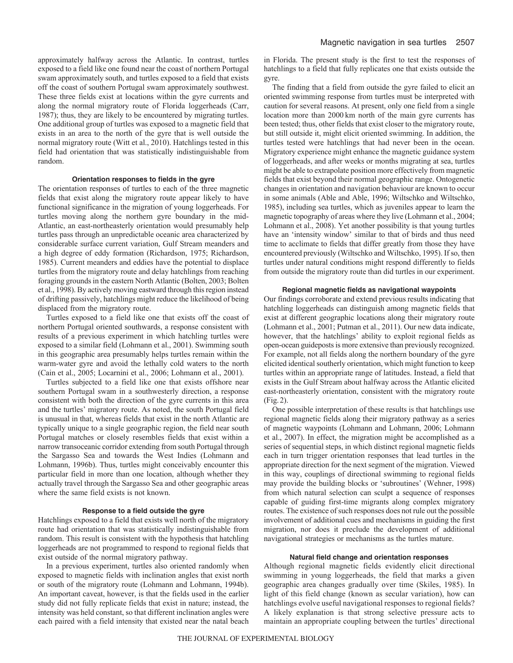approximately halfway across the Atlantic. In contrast, turtles exposed to a field like one found near the coast of northern Portugal swam approximately south, and turtles exposed to a field that exists off the coast of southern Portugal swam approximately southwest. These three fields exist at locations within the gyre currents and along the normal migratory route of Florida loggerheads (Carr, 1987); thus, they are likely to be encountered by migrating turtles. One additional group of turtles was exposed to a magnetic field that exists in an area to the north of the gyre that is well outside the normal migratory route (Witt et al., 2010). Hatchlings tested in this field had orientation that was statistically indistinguishable from random.

# **Orientation responses to fields in the gyre**

The orientation responses of turtles to each of the three magnetic fields that exist along the migratory route appear likely to have functional significance in the migration of young loggerheads. For turtles moving along the northern gyre boundary in the mid-Atlantic, an east-northeasterly orientation would presumably help turtles pass through an unpredictable oceanic area characterized by considerable surface current variation, Gulf Stream meanders and a high degree of eddy formation (Richardson, 1975; Richardson, 1985). Current meanders and eddies have the potential to displace turtles from the migratory route and delay hatchlings from reaching foraging grounds in the eastern North Atlantic (Bolten, 2003; Bolten et al., 1998). By actively moving eastward through this region instead of drifting passively, hatchlings might reduce the likelihood of being displaced from the migratory route.

Turtles exposed to a field like one that exists off the coast of northern Portugal oriented southwards, a response consistent with results of a previous experiment in which hatchling turtles were exposed to a similar field (Lohmann et al., 2001). Swimming south in this geographic area presumably helps turtles remain within the warm-water gyre and avoid the lethally cold waters to the north (Cain et al., 2005; Locarnini et al., 2006; Lohmann et al., 2001).

Turtles subjected to a field like one that exists offshore near southern Portugal swam in a southwesterly direction, a response consistent with both the direction of the gyre currents in this area and the turtles' migratory route. As noted, the south Portugal field is unusual in that, whereas fields that exist in the north Atlantic are typically unique to a single geographic region, the field near south Portugal matches or closely resembles fields that exist within a narrow transoceanic corridor extending from south Portugal through the Sargasso Sea and towards the West Indies (Lohmann and Lohmann, 1996b). Thus, turtles might conceivably encounter this particular field in more than one location, although whether they actually travel through the Sargasso Sea and other geographic areas where the same field exists is not known.

# **Response to a field outside the gyre**

Hatchlings exposed to a field that exists well north of the migratory route had orientation that was statistically indistinguishable from random. This result is consistent with the hypothesis that hatchling loggerheads are not programmed to respond to regional fields that exist outside of the normal migratory pathway.

In a previous experiment, turtles also oriented randomly when exposed to magnetic fields with inclination angles that exist north or south of the migratory route (Lohmann and Lohmann, 1994b). An important caveat, however, is that the fields used in the earlier study did not fully replicate fields that exist in nature; instead, the intensity was held constant, so that different inclination angles were each paired with a field intensity that existed near the natal beach

in Florida. The present study is the first to test the responses of hatchlings to a field that fully replicates one that exists outside the gyre.

The finding that a field from outside the gyre failed to elicit an oriented swimming response from turtles must be interpreted with caution for several reasons. At present, only one field from a single location more than 2000 km north of the main gyre currents has been tested; thus, other fields that exist closer to the migratory route, but still outside it, might elicit oriented swimming. In addition, the turtles tested were hatchlings that had never been in the ocean. Migratory experience might enhance the magnetic guidance system of loggerheads, and after weeks or months migrating at sea, turtles might be able to extrapolate position more effectively from magnetic fields that exist beyond their normal geographic range. Ontogenetic changes in orientation and navigation behaviour are known to occur in some animals (Able and Able, 1996; Wiltschko and Wiltschko, 1985), including sea turtles, which as juveniles appear to learn the magnetic topography of areas where they live (Lohmann et al., 2004; Lohmann et al., 2008). Yet another possibility is that young turtles have an 'intensity window' similar to that of birds and thus need time to acclimate to fields that differ greatly from those they have encountered previously (Wiltschko and Wiltschko, 1995). If so, then turtles under natural conditions might respond differently to fields from outside the migratory route than did turtles in our experiment.

## **Regional magnetic fields as navigational waypoints**

Our findings corroborate and extend previous results indicating that hatchling loggerheads can distinguish among magnetic fields that exist at different geographic locations along their migratory route (Lohmann et al., 2001; Putman et al., 2011). Our new data indicate, however, that the hatchlings' ability to exploit regional fields as open-ocean guideposts is more extensive than previously recognized. For example, not all fields along the northern boundary of the gyre elicited identical southerly orientation, which might function to keep turtles within an appropriate range of latitudes. Instead, a field that exists in the Gulf Stream about halfway across the Atlantic elicited east-northeasterly orientation, consistent with the migratory route (Fig.2).

One possible interpretation of these results is that hatchlings use regional magnetic fields along their migratory pathway as a series of magnetic waypoints (Lohmann and Lohmann, 2006; Lohmann et al., 2007). In effect, the migration might be accomplished as a series of sequential steps, in which distinct regional magnetic fields each in turn trigger orientation responses that lead turtles in the appropriate direction for the next segment of the migration. Viewed in this way, couplings of directional swimming to regional fields may provide the building blocks or 'subroutines' (Wehner, 1998) from which natural selection can sculpt a sequence of responses capable of guiding first-time migrants along complex migratory routes. The existence of such responses does not rule out the possible involvement of additional cues and mechanisms in guiding the first migration, nor does it preclude the development of additional navigational strategies or mechanisms as the turtles mature.

## **Natural field change and orientation responses**

Although regional magnetic fields evidently elicit directional swimming in young loggerheads, the field that marks a given geographic area changes gradually over time (Skiles, 1985). In light of this field change (known as secular variation), how can hatchlings evolve useful navigational responses to regional fields? A likely explanation is that strong selective pressure acts to maintain an appropriate coupling between the turtles' directional